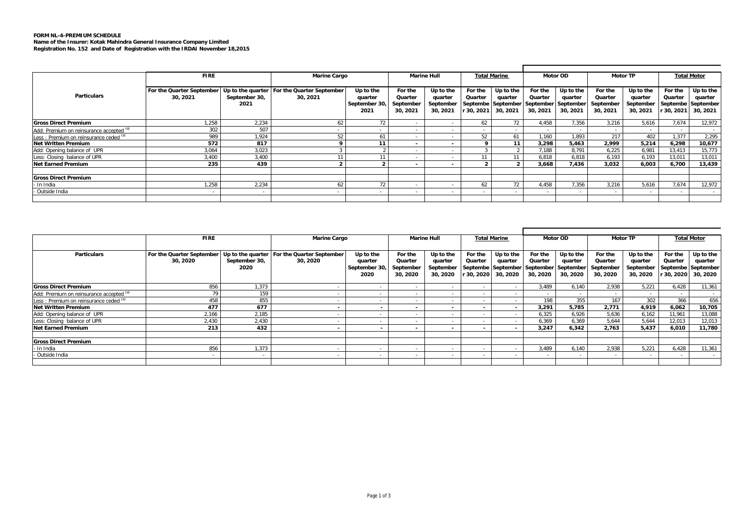## **FORM NL-4-PREMIUM SCHEDULE Name of the Insurer: Kotak Mahindra General Insurance Company Limited Registration No. 152 and Date of Registration with the IRDAI November 18,2015**

|                                          | <b>FIRE</b>               |               | <b>Marine Cargo</b>                         |               |           | <b>Marine Hull</b> |              | <b>Total Marine</b> |                                        | Motor OD          |           | <b>Motor TP</b> |         | <b>Total Motor</b> |
|------------------------------------------|---------------------------|---------------|---------------------------------------------|---------------|-----------|--------------------|--------------|---------------------|----------------------------------------|-------------------|-----------|-----------------|---------|--------------------|
|                                          |                           |               |                                             |               |           |                    |              |                     |                                        |                   |           |                 |         |                    |
|                                          | For the Quarter September |               | Up to the quarter For the Quarter September | Up to the     | For the   | Up to the          | For the      | Up to the           | For the                                | Up to the         | For the   | Up to the       | For the | Up to the          |
| <b>Particulars</b>                       | 30.2021                   | September 30, | 30, 2021                                    | quarter       | Quarter   | quarter            | Quarter      | quarter             | Quarter                                | quarter           | Quarter   | quarter         | Quarter | quarter            |
|                                          |                           | 2021          |                                             | September 30, | September | September          |              |                     | Septembe September September September |                   | September | September       |         | Septembe September |
|                                          |                           |               |                                             | 2021          | 30, 2021  | 30, 2021           | $r$ 30, 2021 | 30, 2021            | 30, 2021                               | 30, 2021          | 30, 2021  | 30, 2021        | 30,2021 | 30, 2021           |
| <b>Gross Direct Premium</b>              | 1,258                     | 2,234         | 62                                          | 72            |           |                    | 62           | 72                  | 4.458                                  | 7.356             | 3.216     | 5.616           | 7.674   | 12,972             |
|                                          |                           |               |                                             |               |           |                    |              |                     |                                        |                   |           |                 |         |                    |
| Add: Premium on reinsurance accepted (a) | 302                       | 507           |                                             |               |           |                    |              | $\sim$              |                                        | $\sim$            |           |                 | . .     |                    |
| Less: Premium on reinsurance ceded (a)   | 989                       | ,924          | 52                                          | 61            |           |                    | 52           | 61                  | 1,160                                  | 1,893             | 217       | 402             | 1.377   | 2,295              |
| <b>Net Written Premium</b>               | 572                       | 817           |                                             | 11            |           | $\sim$             |              | 11                  | 3,298                                  | 5,463             | 2,999     | 5,214           | 6,298   | 10,677             |
| Add: Opening balance of UPR              | 3,064                     | 3,023         |                                             |               | . .       | . .                |              |                     | 7,188                                  | 8.791             | 6,225     | 6.981           | 13,413  | 15,773             |
| Less: Closing balance of UPR             | 3.400                     | 3,400         |                                             |               |           |                    |              |                     | 6.818                                  | 6.818             | 6.193     | 6.193           | 13,011  | 13,011             |
| <b>Net Earned Premium</b>                | 235                       | 439           |                                             |               | $\sim$    | $\sim$             |              |                     | 3.668                                  | 7.436             | 3.032     | 6.003           | 6.700   | 13,439             |
|                                          |                           |               |                                             |               |           |                    |              |                     |                                        |                   |           |                 |         |                    |
| <b>Gross Direct Premium</b>              |                           |               |                                             |               |           |                    |              |                     |                                        |                   |           |                 |         |                    |
| In India                                 | 1.258                     | 2.234         | 62                                          | 72            |           |                    |              | 72                  | 4.458                                  | 7,356             | 3,216     | 5.616           | 7,674   | 12,972             |
| Outside India                            |                           |               |                                             |               |           |                    |              | . .                 |                                        | <b>CONTRACTOR</b> |           |                 | . .     | $\sim$             |
|                                          |                           |               |                                             |               |           |                    |              |                     |                                        |                   |           |                 |         |                    |

|                                          | <b>FIRE</b>                           |                       | <b>Marine Cargo</b>                                     |                                              | <b>Marine Hull</b>                          |                                               | <b>Total Marine</b> |                                             | Motor OD                                                                 |                                  | <b>Motor TP</b>                             |                                               | <b>Total Motor</b> |                                                                 |
|------------------------------------------|---------------------------------------|-----------------------|---------------------------------------------------------|----------------------------------------------|---------------------------------------------|-----------------------------------------------|---------------------|---------------------------------------------|--------------------------------------------------------------------------|----------------------------------|---------------------------------------------|-----------------------------------------------|--------------------|-----------------------------------------------------------------|
| <b>Particulars</b>                       | For the Quarter September<br>30, 2020 | September 30,<br>2020 | Up to the quarter For the Quarter September<br>30, 2020 | Up to the<br>quarter<br>September 30<br>2020 | For the<br>Quarter<br>September<br>30, 2020 | Up to the<br>quarter<br>September<br>30, 2020 | For the<br>Quarter  | Up to the<br>quarter<br>r 30, 2020 30, 2020 | For the<br>Quarter<br>Septembe September September September<br>30, 2020 | Up to the<br>quarter<br>30, 2020 | For the<br>Quarter<br>September<br>30, 2020 | Up to the<br>quarter<br>September<br>30, 2020 | For the<br>Quarter | Up to the<br>quarter<br>Septembe September<br>30, 2020 30, 2020 |
| <b>Gross Direct Premium</b>              | 856                                   | .373                  |                                                         |                                              |                                             |                                               |                     |                                             | 3.489                                                                    | 6.140                            | 2.938                                       | 5.221                                         | 6.428              | 11,361                                                          |
| Add: Premium on reinsurance accepted (a) | 79                                    | 159                   |                                                         |                                              |                                             |                                               |                     |                                             | ж.                                                                       |                                  |                                             |                                               |                    |                                                                 |
| Less: Premium on reinsurance ceded (a)   | 458                                   | 855                   |                                                         |                                              |                                             |                                               |                     |                                             | 198                                                                      | 355                              | 167                                         | 302                                           | 366                | 656                                                             |
| <b>Net Written Premium</b>               | 477                                   | 677                   |                                                         |                                              | $\overline{\phantom{a}}$                    |                                               |                     |                                             | 3,291                                                                    | 5.785                            | 2.771                                       | 4.919                                         | 6.062              | 10,705                                                          |
| Add: Opening balance of UPR              | 2,166                                 | 2,185                 |                                                         |                                              |                                             |                                               |                     |                                             | 6,325                                                                    | 6.926                            | 5.636                                       | 6,162                                         | 11,961             | 13,088                                                          |
| Less: Closing balance of UPR             | 2,430                                 | 2,430                 |                                                         |                                              |                                             |                                               |                     |                                             | 6,369                                                                    | 6,369                            | 5.644                                       | 5,644                                         | 12,013             | 12,013                                                          |
| <b>Net Earned Premium</b>                | 213                                   | 432                   |                                                         |                                              |                                             | $\sim$                                        |                     | $\sim$                                      | 3,247                                                                    | 6.342                            | 2.763                                       | 5,437                                         | 6,010              | 11,780                                                          |
| <b>Gross Direct Premium</b>              |                                       |                       |                                                         |                                              |                                             |                                               |                     |                                             |                                                                          |                                  |                                             |                                               |                    |                                                                 |
| In India                                 | 856                                   | 1.373                 |                                                         |                                              |                                             |                                               |                     |                                             | 3.489                                                                    | 6.140                            | 2.938                                       | 5.221                                         | 6.428              | 11.361                                                          |
| - Outside India                          |                                       |                       |                                                         |                                              |                                             |                                               |                     | $\sim$                                      | $\sim$                                                                   | $\sim$                           | . .                                         |                                               | $\sim$             | $\sim$                                                          |
|                                          |                                       |                       |                                                         |                                              |                                             |                                               |                     |                                             |                                                                          |                                  |                                             |                                               |                    |                                                                 |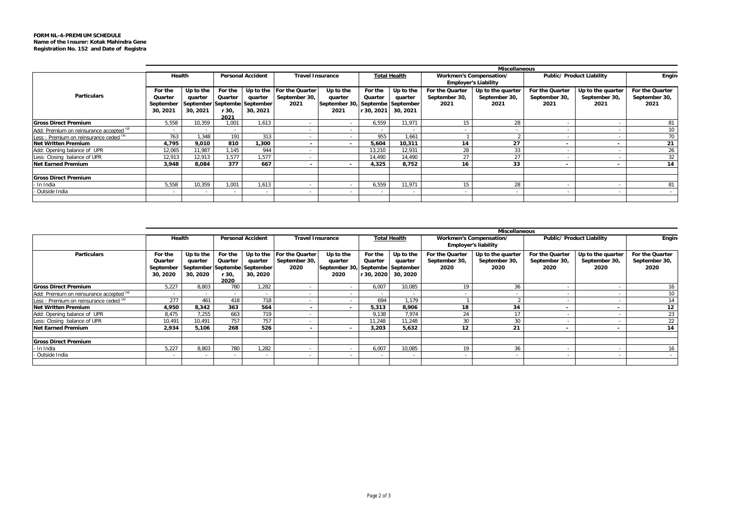|                                          | <b>Miscellaneous</b><br><b>Personal Accident</b><br><b>Total Health</b><br>Public/ Product Liability<br>Health<br><b>Travel Insurance</b><br>Workmen's Compensation/ |                                                                  |                                     |                          |                                                    |                                                                  |                                           |                                  |                                          |                                            |                                          |                                            |                                          |  |
|------------------------------------------|----------------------------------------------------------------------------------------------------------------------------------------------------------------------|------------------------------------------------------------------|-------------------------------------|--------------------------|----------------------------------------------------|------------------------------------------------------------------|-------------------------------------------|----------------------------------|------------------------------------------|--------------------------------------------|------------------------------------------|--------------------------------------------|------------------------------------------|--|
|                                          |                                                                                                                                                                      |                                                                  |                                     |                          |                                                    |                                                                  |                                           |                                  |                                          | <b>Employer's Liability</b>                |                                          | <b>Engin</b>                               |                                          |  |
| Particulars                              | For the<br>Quarter<br>September<br>30, 2021                                                                                                                          | Up to the<br>quarter<br>September Septembe September<br>30, 2021 | For the<br>Quarter<br>r 30.<br>2021 | quarter<br>30, 2021      | Up to the For the Quarter<br>September 30,<br>2021 | Up to the<br>quarter<br>September 30, Septembe September<br>2021 | For the<br>Quarter<br>r 30, 2021 <b>L</b> | Up to the<br>quarter<br>30, 2021 | For the Quarter<br>September 30,<br>2021 | Up to the quarter<br>September 30,<br>2021 | For the Quarter<br>September 30,<br>2021 | Up to the quarter<br>September 30,<br>2021 | For the Quarter<br>September 30,<br>2021 |  |
| <b>Gross Direct Premium</b>              | 5.558                                                                                                                                                                | 10.359                                                           | 1.00 <sup>2</sup>                   | 1.613                    | . .                                                | ۰.                                                               | 6.559                                     | 11.971                           | 15                                       | 28                                         |                                          | $\sim$                                     | 81                                       |  |
| Add: Premium on reinsurance accepted (a) | $\sim$                                                                                                                                                               |                                                                  | $\sim$                              |                          |                                                    | $\sim$                                                           | . .                                       | $\sim$                           |                                          |                                            |                                          | $\sim$                                     |                                          |  |
| Less: Premium on reinsurance ceded (a)   | 763                                                                                                                                                                  | 1,348                                                            | 191                                 | 313                      |                                                    |                                                                  | 955                                       | 1.661                            |                                          |                                            |                                          | $\sim$                                     | 70                                       |  |
| Net Written Premium                      | 4.795                                                                                                                                                                | 9,010                                                            | 810                                 | 1,300                    |                                                    | . .                                                              | 5,604                                     | 10,311                           |                                          | 27                                         |                                          | $\sim$                                     | 21                                       |  |
| Add: Opening balance of UPR              | 12,065                                                                                                                                                               | 11,987                                                           | 1.145                               | 944                      |                                                    |                                                                  | 13,210                                    | 12,931                           | 28                                       | 33                                         |                                          | $\sim$                                     | 26                                       |  |
| Less: Closing balance of UPR             | 12,913                                                                                                                                                               | 12,913                                                           | 1.577                               | 1.577                    |                                                    |                                                                  | 14,490                                    | 14.490                           |                                          |                                            |                                          | $\sim$                                     | 32                                       |  |
| <b>Net Earned Premium</b>                | 3,948                                                                                                                                                                | 8,084                                                            | 377                                 | 667                      |                                                    | . .                                                              | 4,325                                     | 8,752                            | 16                                       | 33                                         | $\sim$                                   | $\sim$                                     | 14                                       |  |
| <b>Gross Direct Premium</b>              |                                                                                                                                                                      |                                                                  |                                     |                          |                                                    |                                                                  |                                           |                                  |                                          |                                            |                                          |                                            |                                          |  |
| - In India                               | 5,558                                                                                                                                                                | 10,359                                                           | $1,00^{\circ}$                      | 1,613                    |                                                    |                                                                  | 6,559                                     | 11.971                           |                                          | 28                                         |                                          | $\sim$                                     | 81                                       |  |
| - Outside India                          | $\sim$                                                                                                                                                               |                                                                  | . .                                 | $\overline{\phantom{a}}$ |                                                    | ۰.                                                               | . .                                       | . .                              |                                          |                                            |                                          | <b>COL</b>                                 |                                          |  |
|                                          |                                                                                                                                                                      |                                                                  |                                     |                          |                                                    |                                                                  |                                           |                                  |                                          |                                            |                                          |                                            |                                          |  |

|                                          |                                             |                                                                  |                                     |                          |                                                    |                                                                  |                    |                                               |                                          | <b>Miscellaneous</b>                                   |                                          |                                            |                                          |
|------------------------------------------|---------------------------------------------|------------------------------------------------------------------|-------------------------------------|--------------------------|----------------------------------------------------|------------------------------------------------------------------|--------------------|-----------------------------------------------|------------------------------------------|--------------------------------------------------------|------------------------------------------|--------------------------------------------|------------------------------------------|
| <b>Particulars</b>                       | Health                                      |                                                                  |                                     | <b>Personal Accident</b> |                                                    | <b>Travel Insurance</b>                                          |                    | <b>Total Health</b>                           |                                          | Workmen's Compensation/<br><b>Employer's liability</b> | Public/ Product Liability                | <b>Engin</b>                               |                                          |
|                                          | For the<br>Quarter<br>September<br>30, 2020 | Up to the<br>auarter<br>September Septembe September<br>30, 2020 | For the<br>Quarter<br>r 30.<br>2020 | quarter<br>30, 2020      | Up to the For the Quarter<br>September 30,<br>2020 | Up to the<br>quarter<br>September 30, Septembe September<br>2020 | For the<br>Quarter | Up to the<br>quarter<br>r 30, 2020   30, 2020 | For the Quarter<br>September 30,<br>2020 | Up to the quarter<br>September 30,<br>2020             | For the Quarter<br>September 30,<br>2020 | Up to the quarter<br>September 30,<br>2020 | For the Quarter<br>September 30,<br>2020 |
| <b>Gross Direct Premium</b>              | 5,227                                       | 8.803                                                            | 780                                 | 1.282                    |                                                    |                                                                  | 6,007              | 10,085                                        | 1 <sup>C</sup>                           | 36                                                     |                                          |                                            |                                          |
| Add: Premium on reinsurance accepted (a) | $\sim$                                      |                                                                  |                                     | . .                      |                                                    | $\sim$                                                           | $\sim$             |                                               |                                          |                                                        | ж.                                       | ٠                                          |                                          |
| Less : Premium on reinsurance ceded (a)  | 277                                         | 461                                                              | 418                                 | 718                      |                                                    |                                                                  | 694                | 1.179                                         |                                          |                                                        |                                          |                                            |                                          |
| <b>Net Written Premium</b>               | 4,950                                       | 8,342                                                            | 363                                 | 564                      |                                                    | $\sim$                                                           | 5,313              | 8,906                                         | 18                                       | 34                                                     |                                          | $\sim$                                     | 12                                       |
| Add: Opening balance of UPR              | 8,475                                       | 7,255                                                            | 663                                 | 719                      |                                                    |                                                                  | 9.138              | 7.974                                         | 24                                       |                                                        | ж.                                       | $\sim$                                     | 23                                       |
| Less: Closing balance of UPR             | 10,491                                      | 10,491                                                           | 757                                 | 757                      |                                                    |                                                                  | 11.248             | 11.248                                        | 30                                       | 30                                                     |                                          | $\sim$                                     | 22                                       |
| <b>Net Earned Premium</b>                | 2,934                                       | 5,106                                                            | 268                                 | 526                      |                                                    |                                                                  | 3,203              | 5,632                                         | 12                                       | 21                                                     | $\overline{\phantom{a}}$                 | $\sim$                                     | 14                                       |
| <b>Gross Direct Premium</b>              |                                             |                                                                  |                                     |                          |                                                    |                                                                  |                    |                                               |                                          |                                                        |                                          |                                            |                                          |
| In India                                 | 5.227                                       | 8,803                                                            | 780                                 | 1,282                    |                                                    |                                                                  | 6.007              | 10,085                                        | 19                                       | 36                                                     |                                          | $\sim$                                     |                                          |
| - Outside India                          |                                             |                                                                  |                                     |                          |                                                    |                                                                  | . .                |                                               |                                          |                                                        |                                          |                                            |                                          |
|                                          |                                             |                                                                  |                                     |                          |                                                    |                                                                  |                    |                                               |                                          |                                                        |                                          |                                            |                                          |